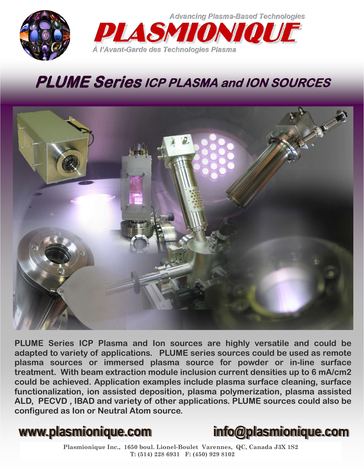

**Advancing Plasma-Based Technologies DIA SMI** 

## **PLUME Series ICP PLASMA and ION SOURCES**

À l'Avant-Garde des Technologies Plasma



**PLUME Series ICP Plasma and Ion sources are highly versatile and could be adapted to variety of applications. PLUME series sources could be used as remote plasma sources or immersed plasma source for powder or in-line surface treatment. With beam extraction module inclusion current densities up to 6 mA/cm2 could be achieved. Application examples include plasma surface cleaning, surface functionalization, ion assisted deposition, plasma polymerization, plasma assisted ALD, PECVD , IBAD and variety of other applications. PLUME sources could also be configured as Ion or Neutral Atom source.** 



**Plasmionique Inc., 1650 boul. Lionel-Boulet Varennes, QC, Canada J3X 1S2 T: (514) 228 6931 F: (450) 929 8102**